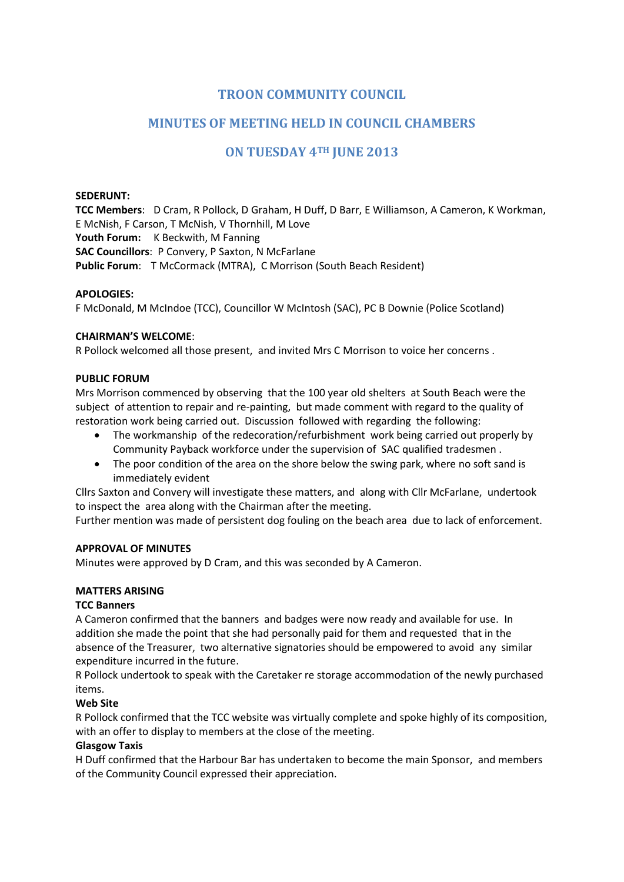# **TROON COMMUNITY COUNCIL**

# **MINUTES OF MEETING HELD IN COUNCIL CHAMBERS**

# **ON TUESDAY 4TH JUNE 2013**

#### **SEDERUNT:**

**TCC Members**: D Cram, R Pollock, D Graham, H Duff, D Barr, E Williamson, A Cameron, K Workman, E McNish, F Carson, T McNish, V Thornhill, M Love Youth Forum: K Beckwith, M Fanning **SAC Councillors**: P Convery, P Saxton, N McFarlane **Public Forum**: T McCormack (MTRA), C Morrison (South Beach Resident)

#### **APOLOGIES:**

F McDonald, M McIndoe (TCC), Councillor W McIntosh (SAC), PC B Downie (Police Scotland)

#### **CHAIRMAN'S WELCOME**:

R Pollock welcomed all those present, and invited Mrs C Morrison to voice her concerns .

#### **PUBLIC FORUM**

Mrs Morrison commenced by observing that the 100 year old shelters at South Beach were the subject of attention to repair and re-painting, but made comment with regard to the quality of restoration work being carried out. Discussion followed with regarding the following:

- The workmanship of the redecoration/refurbishment work being carried out properly by Community Payback workforce under the supervision of SAC qualified tradesmen .
- The poor condition of the area on the shore below the swing park, where no soft sand is immediately evident

Cllrs Saxton and Convery will investigate these matters, and along with Cllr McFarlane, undertook to inspect the area along with the Chairman after the meeting.

Further mention was made of persistent dog fouling on the beach area due to lack of enforcement.

#### **APPROVAL OF MINUTES**

Minutes were approved by D Cram, and this was seconded by A Cameron.

### **MATTERS ARISING**

#### **TCC Banners**

A Cameron confirmed that the banners and badges were now ready and available for use. In addition she made the point that she had personally paid for them and requested that in the absence of the Treasurer, two alternative signatories should be empowered to avoid any similar expenditure incurred in the future.

R Pollock undertook to speak with the Caretaker re storage accommodation of the newly purchased items.

### **Web Site**

R Pollock confirmed that the TCC website was virtually complete and spoke highly of its composition, with an offer to display to members at the close of the meeting.

#### **Glasgow Taxis**

H Duff confirmed that the Harbour Bar has undertaken to become the main Sponsor, and members of the Community Council expressed their appreciation.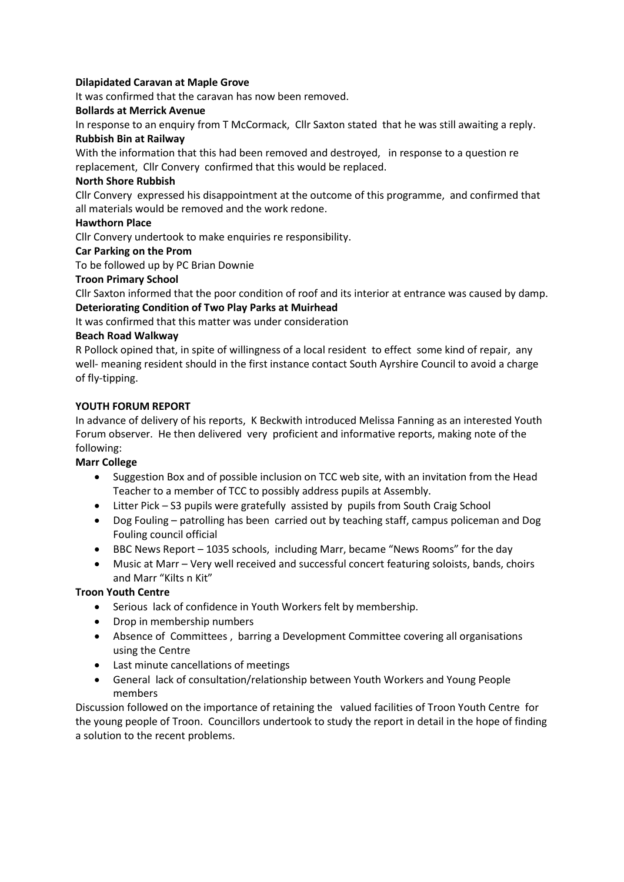## **Dilapidated Caravan at Maple Grove**

It was confirmed that the caravan has now been removed.

## **Bollards at Merrick Avenue**

In response to an enquiry from T McCormack, Cllr Saxton stated that he was still awaiting a reply. **Rubbish Bin at Railway**

With the information that this had been removed and destroyed, in response to a question re replacement, Cllr Convery confirmed that this would be replaced.

## **North Shore Rubbish**

Cllr Convery expressed his disappointment at the outcome of this programme, and confirmed that all materials would be removed and the work redone.

# **Hawthorn Place**

Cllr Convery undertook to make enquiries re responsibility.

# **Car Parking on the Prom**

To be followed up by PC Brian Downie

# **Troon Primary School**

Cllr Saxton informed that the poor condition of roof and its interior at entrance was caused by damp. **Deteriorating Condition of Two Play Parks at Muirhead**

It was confirmed that this matter was under consideration

# **Beach Road Walkway**

R Pollock opined that, in spite of willingness of a local resident to effect some kind of repair, any well- meaning resident should in the first instance contact South Ayrshire Council to avoid a charge of fly-tipping.

# **YOUTH FORUM REPORT**

In advance of delivery of his reports, K Beckwith introduced Melissa Fanning as an interested Youth Forum observer. He then delivered very proficient and informative reports, making note of the following:

### **Marr College**

- Suggestion Box and of possible inclusion on TCC web site, with an invitation from the Head Teacher to a member of TCC to possibly address pupils at Assembly.
- Litter Pick S3 pupils were gratefully assisted by pupils from South Craig School
- Dog Fouling patrolling has been carried out by teaching staff, campus policeman and Dog Fouling council official
- BBC News Report 1035 schools, including Marr, became "News Rooms" for the day
- Music at Marr Very well received and successful concert featuring soloists, bands, choirs and Marr "Kilts n Kit"

# **Troon Youth Centre**

- Serious lack of confidence in Youth Workers felt by membership.
- Drop in membership numbers
- Absence of Committees , barring a Development Committee covering all organisations using the Centre
- Last minute cancellations of meetings
- General lack of consultation/relationship between Youth Workers and Young People members

Discussion followed on the importance of retaining the valued facilities of Troon Youth Centre for the young people of Troon. Councillors undertook to study the report in detail in the hope of finding a solution to the recent problems.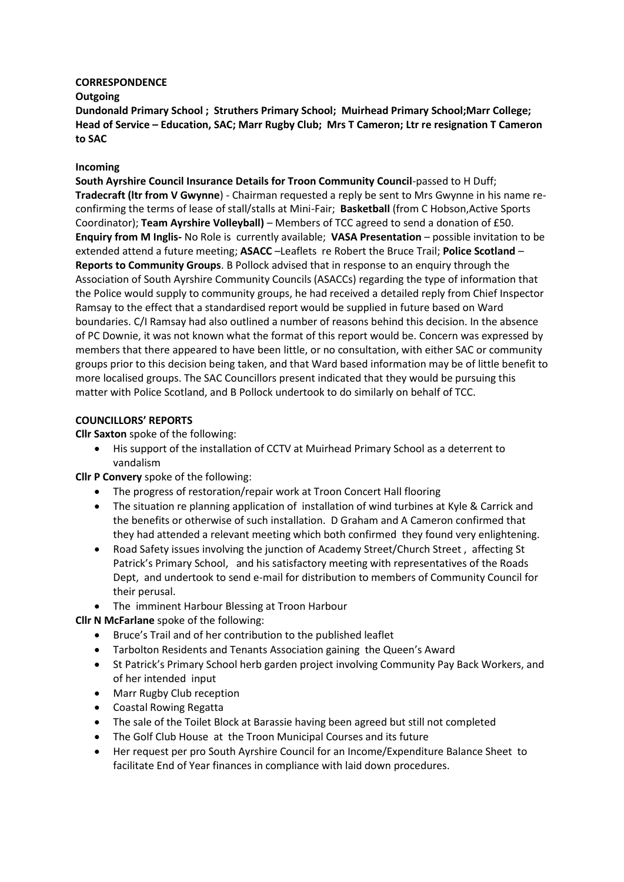#### **CORRESPONDENCE**

#### **Outgoing**

**Dundonald Primary School ; Struthers Primary School; Muirhead Primary School;Marr College; Head of Service – Education, SAC; Marr Rugby Club; Mrs T Cameron; Ltr re resignation T Cameron to SAC**

### **Incoming**

**South Ayrshire Council Insurance Details for Troon Community Council**-passed to H Duff; **Tradecraft (ltr from V Gwynne**) - Chairman requested a reply be sent to Mrs Gwynne in his name reconfirming the terms of lease of stall/stalls at Mini-Fair; **Basketball** (from C Hobson,Active Sports Coordinator); **Team Ayrshire Volleyball)** – Members of TCC agreed to send a donation of £50. **Enquiry from M Inglis-** No Role is currently available; **VASA Presentation** – possible invitation to be extended attend a future meeting; **ASACC** –Leaflets re Robert the Bruce Trail; **Police Scotland** – **Reports to Community Groups**. B Pollock advised that in response to an enquiry through the Association of South Ayrshire Community Councils (ASACCs) regarding the type of information that the Police would supply to community groups, he had received a detailed reply from Chief Inspector Ramsay to the effect that a standardised report would be supplied in future based on Ward boundaries. C/I Ramsay had also outlined a number of reasons behind this decision. In the absence of PC Downie, it was not known what the format of this report would be. Concern was expressed by members that there appeared to have been little, or no consultation, with either SAC or community groups prior to this decision being taken, and that Ward based information may be of little benefit to more localised groups. The SAC Councillors present indicated that they would be pursuing this matter with Police Scotland, and B Pollock undertook to do similarly on behalf of TCC.

# **COUNCILLORS' REPORTS**

**Cllr Saxton** spoke of the following:

 His support of the installation of CCTV at Muirhead Primary School as a deterrent to vandalism

**Cllr P Convery** spoke of the following:

- The progress of restoration/repair work at Troon Concert Hall flooring
- The situation re planning application of installation of wind turbines at Kyle & Carrick and the benefits or otherwise of such installation. D Graham and A Cameron confirmed that they had attended a relevant meeting which both confirmed they found very enlightening.
- Road Safety issues involving the junction of Academy Street/Church Street , affecting St Patrick's Primary School, and his satisfactory meeting with representatives of the Roads Dept, and undertook to send e-mail for distribution to members of Community Council for their perusal.
- The imminent Harbour Blessing at Troon Harbour

**Cllr N McFarlane** spoke of the following:

- Bruce's Trail and of her contribution to the published leaflet
- Tarbolton Residents and Tenants Association gaining the Queen's Award
- St Patrick's Primary School herb garden project involving Community Pay Back Workers, and of her intended input
- Marr Rugby Club reception
- Coastal Rowing Regatta
- The sale of the Toilet Block at Barassie having been agreed but still not completed
- The Golf Club House at the Troon Municipal Courses and its future
- Her request per pro South Ayrshire Council for an Income/Expenditure Balance Sheet to facilitate End of Year finances in compliance with laid down procedures.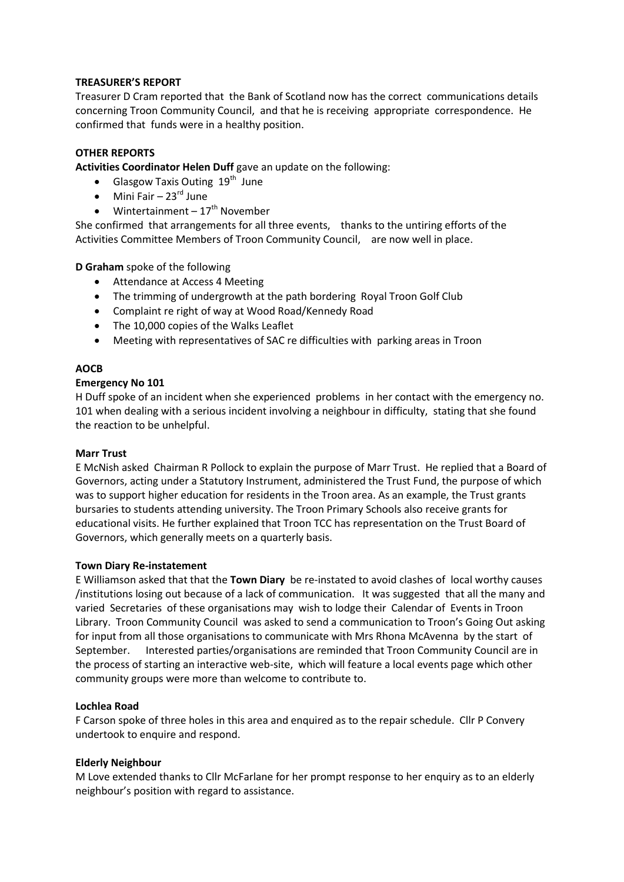# **TREASURER'S REPORT**

Treasurer D Cram reported that the Bank of Scotland now has the correct communications details concerning Troon Community Council, and that he is receiving appropriate correspondence. He confirmed that funds were in a healthy position.

# **OTHER REPORTS**

**Activities Coordinator Helen Duff** gave an update on the following:

- Glasgow Taxis Outing  $19<sup>th</sup>$  June
- $\bullet$  Mini Fair 23<sup>rd</sup> June
- $\bullet$  Wintertainment 17<sup>th</sup> November

She confirmed that arrangements for all three events, thanks to the untiring efforts of the Activities Committee Members of Troon Community Council, are now well in place.

**D Graham** spoke of the following

- Attendance at Access 4 Meeting
- The trimming of undergrowth at the path bordering Royal Troon Golf Club
- Complaint re right of way at Wood Road/Kennedy Road
- The 10,000 copies of the Walks Leaflet
- Meeting with representatives of SAC re difficulties with parking areas in Troon

# **AOCB**

# **Emergency No 101**

H Duff spoke of an incident when she experienced problems in her contact with the emergency no. 101 when dealing with a serious incident involving a neighbour in difficulty, stating that she found the reaction to be unhelpful.

### **Marr Trust**

E McNish asked Chairman R Pollock to explain the purpose of Marr Trust. He replied that a Board of Governors, acting under a Statutory Instrument, administered the Trust Fund, the purpose of which was to support higher education for residents in the Troon area. As an example, the Trust grants bursaries to students attending university. The Troon Primary Schools also receive grants for educational visits. He further explained that Troon TCC has representation on the Trust Board of Governors, which generally meets on a quarterly basis.

### **Town Diary Re-instatement**

E Williamson asked that that the **Town Diary** be re-instated to avoid clashes of local worthy causes /institutions losing out because of a lack of communication. It was suggested that all the many and varied Secretaries of these organisations may wish to lodge their Calendar of Events in Troon Library. Troon Community Council was asked to send a communication to Troon's Going Out asking for input from all those organisations to communicate with Mrs Rhona McAvenna by the start of September. Interested parties/organisations are reminded that Troon Community Council are in the process of starting an interactive web-site, which will feature a local events page which other community groups were more than welcome to contribute to.

### **Lochlea Road**

F Carson spoke of three holes in this area and enquired as to the repair schedule. Cllr P Convery undertook to enquire and respond.

### **Elderly Neighbour**

M Love extended thanks to Cllr McFarlane for her prompt response to her enquiry as to an elderly neighbour's position with regard to assistance.